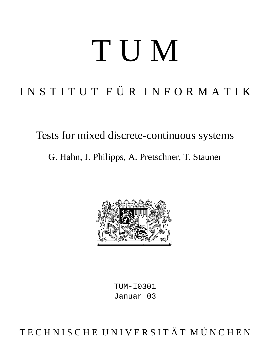# T U M

# INSTITUT FÜR INFORMATIK

## Tests for mixed discrete-continuous systems

G. Hahn, J. Philipps, A. Pretschner, T. Stauner



TUM-I0301 Januar 03

TECHNISCHE UNIVERSITÄT MÜNCHEN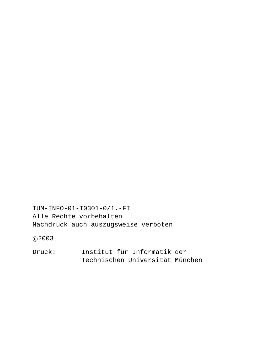TUM-INFO-01-I0301-0/1.-FI Alle Rechte vorbehalten Nachdruck auch auszugsweise verboten

c 2003

Druck: Institut für Informatik der Technischen Universität München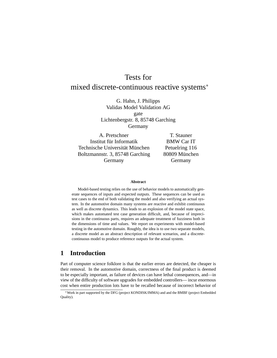### Tests for

## mixed discrete-continuous reactive systems ∗

G. Hahn, J. Philipps Validas Model Validation AG gate Lichtenbergstr. 8, 85748 Garching Germany

A. Pretschner Institut für Informatik Technische Universität München Boltzmannstr. 3, 85748 Garching Germany

T. Stauner BMW Car IT Petuelring 116 80809 München Germany

#### **Abstract**

Model-based testing relies on the use of behavior models to automatically generate sequences of inputs and expected outputs. These sequences can be used as test cases to the end of both validating the model and also verifying an actual system. In the automotive domain many systems are reactive and exhibit continuous as well as discrete dynamics. This leads to an explosion of the model state space, which makes automated test case generation difficult, and, because of imprecisions in the continuous parts, requires an adequate treatment of fuzziness both in the dimensions of time and values. We report on experiments with model-based testing in the automotive domain. Roughly, the idea is to use two separate models, a discrete model as an abstract description of relevant scenarios, and a discretecontinuous model to produce reference outputs for the actual system.

#### **1 Introduction**

Part of computer science folklore is that the earlier errors are detected, the cheaper is their removal. In the automotive domain, correctness of the final product is deemed to be especially important, as failure of devices can have lethal consequences, and—in view of the difficulty of software upgrades for embedded controllers— incur enormous cost when entire production lots have to be recalled because of incorrect behavior of

<sup>∗</sup>Work in part supported by the DFG (project KONDISK/IMMA) and and the BMBF (project Embedded Quality).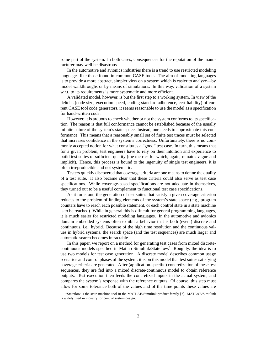some part of the system. In both cases, consequences for the reputation of the manufacturer may well be disastrous.

In the automotive and avionics industries there is a trend to use restricted modeling languages like those found in common CASE tools. The aim of modeling languages is to provide a more abstract, simpler view on a system which is easier to analyze—by model walkthroughs or by means of simulations. In this way, validation of a system w.r.t. to its requirements is more systematic and more efficient.

A validated model, however, is but the first step to a working system. In view of the deficits (code size, execution speed, coding standard adherence, certifiability) of current CASE tool code generators, it seems reasonable to use the model as a specification for hand-written code.

However, it is arduous to check whether or not the system conforms to its specification. The reason is that full conformance cannot be established because of the usually infinite nature of the system's state space. Instead, one needs to approximate this conformance. This means that a reasonably small set of finite test traces must be selected that increases confidence in the system's correctness. Unfortunately, there is no commonly accepted notion for what constitutes a "good" test case. In turn, this means that for a given problem, test engineers have to rely on their intuition and experience to build test suites of sufficient quality (the metrics for which, again, remains vague and implicit). Hence, this process is bound to the ingenuity of single test engineers, it is often irreproducible and not systematic.

Testers quickly discovered that coverage criteria are one means to define the quality of a test suite. It also became clear that these criteria could also serve as test case specifications. While coverage-based specifications are not adequate in themselves, they turned out to be a useful complement to functional test case specifications.

As it turns out, the generation of test suites that satisfy a given coverage criterion reduces to the problem of finding elements of the system's state space (e.g., program counters have to reach each possible statement, or each control state in a state machine is to be reached). While in general this is difficult for general programming languages, it is much easier for restricted modeling languages. In the automotive and avionics domain embedded systems often exhibit a behavior that is both (event) discrete and continuous, i.e., hybrid. Because of the high time resolution and the continuous values in hybrid systems, the search space (and the test sequences) are much larger and automatic search becomes intractable.

In this paper, we report on a method for generating test cases from mixed discretecontinuous models specified in Matlab Simulink/Stateflow. <sup>1</sup> Roughly, the idea is to use two models for test case generation. A discrete model describes common usage scenarios and control phases of the system; it is on this model that test suites satisfying coverage criteria are generated. After (application-specific) concretization of these test sequences, they are fed into a mixed discrete-continuous model to obtain reference outputs. Test execution then feeds the concretized inputs in the actual system, and compares the system's response with the reference outputs. Of course, this step must allow for some tolerance both of the values and of the time points these values are

<sup>&</sup>lt;sup>1</sup>Stateflow is the state machine tool in the MATLAB/Simulink product family [7]. MATLAB/Simulink is widely used in industry for control system design.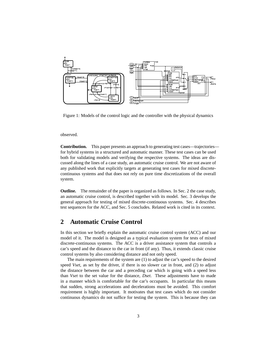

Figure 1: Models of the control logic and the controller with the physical dynamics

observed.

**Contribution.** This paper presents an approach to generating test cases—trajectories for hybrid systems in a structured and automatic manner. These test cases can be used both for validating models and verifying the respective systems. The ideas are discussed along the lines of a case study, an automatic cruise control. We are not aware of any published work that explicitly targets at generating test cases for mixed discretecontinuous systems and that does not rely on pure time discretizations of the overall system.

**Outline.** The remainder of the paper is organized as follows. In Sec. 2 the case study, an automatic cruise control, is described together with its model. Sec. 3 develops the general approach for testing of mixed discrete-continuous systems. Sec. 4 describes test sequences for the ACC, and Sec. 5 concludes. Related work is cited in its context.

#### **2 Automatic Cruise Control**

In this section we briefly explain the automatic cruise control system (ACC) and our model of it. The model is designed as a typical evaluation system for tests of mixed discrete-continuous systems. The ACC is a driver assistance system that controls a car's speed and the distance to the car in front (if any). Thus, it extends classic cruise control systems by also considering distance and not only speed.

The main requirements of the system are (1) to adjust the car's speed to the desired speed *Vset*, as set by the driver, if there is no slower car in front, and (2) to adjust the distance between the car and a preceding car which is going with a speed less than *Vset* to the set value for the distance, *Dset*. These adjustments have to made in a manner which is comfortable for the car's occupants. In particular this means that sudden, strong accelerations and decelerations must be avoided. This comfort requirement is highly important. It motivates that test cases which do not consider continuous dynamics do not suffice for testing the system. This is because they can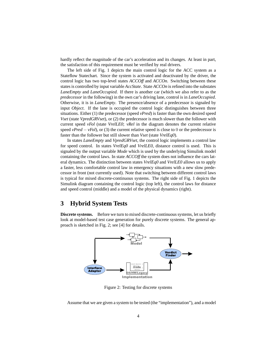hardly reflect the magnitude of the car's acceleration and its changes. At least in part, the satisfaction of this requirement must be verified by real drivers.

The left side of Fig. 1 depicts the main control logic for the ACC system as a Stateflow Statechart. Since the system is activated and deactivated by the driver, the control logic has two top-level states *ACCOff* and *ACCOn*. Switching between these states is controlled by input variable *AccState*. State *ACCOn* is refined into the substates *LaneEmpty* and *LaneOccupied*. If there is another car (which we also refer to as the *predecessor* in the following) in the own car's driving lane, control is in *LaneOccupied*. Otherwise, it is in *LaneEmpty*. The presence/absence of a predecessor is signaled by input *Object*. If the lane is occupied the control logic distinguishes between three situations. Either (1) the predecessor (speed *vPred*) is faster than the own desired speed *Vset* (state *VpredGRVset*), or (2) the predecessor is much slower than the follower with current speed *vFol* (state *VrelLE0*; *vRel* in the diagram denotes the current relative speed *vPred* − *vFol*), or (3) the current relative speed is close to 0 or the predecessor is faster than the follower but still slower than *Vset* (state *VrelEq0*).

In states *LaneEmpty* and *VpredGRVset*, the control logic implements a control law for speed control. In states *VrelEq0* and *VrelLE0*, distance control is used. This is signaled by the output variable *Mode* which is used by the underlying Simulink model containing the control laws. In state *ACCOff* the system does not influence the cars lateral dynamics. The distinction between states *VrelEq0* and *VrelLE0* allows us to apply a faster, less comfortable control law in emergency situations with a new slow predecessor in front (not currently used). Note that switching between different control laws is typical for mixed discrete-continuous systems. The right side of Fig. 1 depicts the Simulink diagram containing the control logic (top left), the control laws for distance and speed control (middle) and a model of the physical dynamics (right).

#### **3 Hybrid System Tests**

**Discrete systems.** Before we turn to mixed discrete-continuous systems, let us briefly look at model-based test case generation for purely discrete systems. The general approach is sketched in Fig. 2; see [4] for details.



Figure 2: Testing for discrete systems

Assume that we are given a system to be tested (the "implementation"), and a model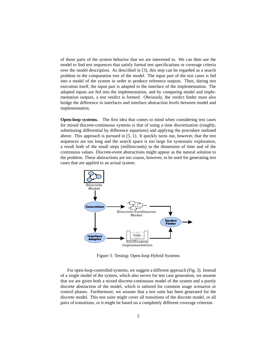of those parts of the system behavior that we are interested in. We can then use the model to find test sequences that satisfy formal test specifications or coverage criteria over the model description. As described in [3], this step can be regarded as a search problem in the computation tree of the model. The input part of the test cases is fed into a model of the system in order to produce reference outputs. Then, during test execution itself, the input part is adapted to the interface of the implementation. The adapted inputs are fed into the implementation, and by comparing model and implementation outputs, a test verdict is formed. Obviously, the verdict finder must also bridge the difference in interfaces and interface abstraction levels between model and implementation.

**Open-loop systems.** The first idea that comes to mind when considering test cases for mixed discrete-continuous systems is that of using a time discretization (roughly, substituting differential by difference equations) and applying the procedure outlined above. This approach is pursued in [5, 1]. It quickly turns out, however, that the test sequences are too long and the search space is too large for systematic exploration, a result both of the small steps (milliseconds) in the dimension of time and of the continuous values. Discrete-event abstractions might appear as the natural solution to the problem. These abstractions are too coarse, however, to be used for generating test cases that are applied to an actual system.



Figure 3: Testing: Open-loop Hybrid Systems

For open-loop-controlled systems, we suggest a different approach (Fig. 3). Instead of a single model of the system, which also serves for test case generation, we assume that we are given both a mixed discrete-continuous model of the system and a purely discrete abstraction of the model, which is tailored for common usage scenarios or control phases. Furthermore, we assume that a test suite has been generated for the discrete model. This test suite might cover all transitions of the discrete model, or all pairs of transitions, or it might be based on a completely different coverage criterion.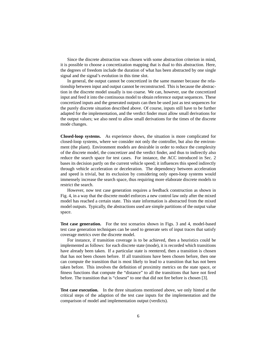Since the discrete abstraction was chosen with some abstraction criterion in mind, it is possible to choose a concretization mapping that is dual to this abstraction. Here, the degrees of freedom include the duration of what has been abstracted by one single signal and the signal's evolution in this time slot.

In general, the output cannot be concretized in the same manner because the relationship between input and output cannot be reconstructed. This is because the abstraction in the discrete model usually is too coarse. We can, however, use the concretized input and feed it into the continuous model to obtain reference output sequences. These concretized inputs and the generated outputs can then be used just as test sequences for the purely discrete situation described above. Of course, inputs still have to be further adapted for the implementation, and the verdict finder must allow small derivations for the output values; we also need to allow small derivations for the times of the discrete mode changes.

**Closed-loop systems.** As experience shows, the situation is more complicated for closed-loop systems, where we consider not only the controller, but also the environment (the plant). Environment models are desirable in order to reduce the complexity of the discrete model, the concretizer and the verdict finder, and thus to indirectly also reduce the search space for test cases. For instance, the ACC introduced in Sec. 2 bases its decision partly on the current vehicle speed; it influences this speed indirectly through vehicle acceleration or deceleration. The dependency between acceleration and speed is trivial, but its exclusion by considering only open-loop systems would immensely increase the search space, thus requiring more elaborate discrete models to restrict the search.

However, now test case generation requires a feedback construction as shown in Fig. 4, in a way that the discrete model enforces a new control law only after the mixed model has reached a certain state. This state information is abstracted from the mixed model outputs. Typically, the abstractions used are simple partitions of the output value space.

**Test case generation.** For the test scenarios shown in Figs. 3 and 4, model-based test case generation techniques can be used to generate sets of input traces that satisfy coverage metrics over the discrete model.

For instance, if transition coverage is to be achieved, then a heuristics could be implemented as follows: for each discrete state (mode), it is recorded which transitions have already been taken. If a particular state is reentered, then a transition is chosen that has not been chosen before. If all transitions have been chosen before, then one can compute the transition that is most likely to lead to a transition that has not been taken before. This involves the definition of proximity metrics on the state space, or fitness functions that compute the "distance" to all the transitions that have not fired before. The transition that is "closest" to one that did not fire before is chosen [3].

**Test case execution.** In the three situations mentioned above, we only hinted at the critical steps of the adaption of the test case inputs for the implementation and the comparison of model and implementation output (verdicts).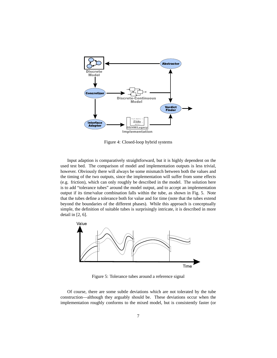

Figure 4: Closed-loop hybrid systems

Input adaption is comparatively straightforward, but it is highly dependent on the used test bed. The comparison of model and implementation outputs is less trivial, however. Obviously there will always be some mismatch between both the values and the timing of the two outputs, since the implementation will suffer from some effects (e.g. friction), which can only roughly be described in the model. The solution here is to add "tolerance tubes" around the model output, and to accept an implementation output if its time/value combination falls within the tube, as shown in Fig. 5. Note that the tubes define a tolerance both for value and for time (note that the tubes extend beyond the boundaries of the different phases). While this approach is conceptually simple, the definition of suitable tubes is surprisingly intricate, it is described in more detail in [2, 6].



Figure 5: Tolerance tubes around a reference signal

Of course, there are some subtle deviations which are not tolerated by the tube construction—although they arguably should be. These deviations occur when the implementation roughly conforms to the mixed model, but is consistently faster (or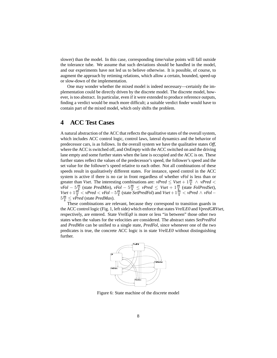slower) than the model. In this case, corresponding time/value points will fall outside the tolerance tube. We assume that such deviations should be handled in the model, and our experiments have not led us to believe otherwise. It is possible, of course, to augment the approach by retiming relations, which allow a certain, bounded, speed-up or slow-down of the implementation.

One may wonder whether the mixed model is indeed necessary—certainly the implementation could be directly driven by the discrete model. The discrete model, however, is too abstract. In particular, even if it were extended to produce reference outputs, finding a verdict would be much more difficult; a suitable verdict finder would have to contain part of the mixed model, which only shifts the problem.

#### **4 ACC Test Cases**

A natural abstraction of the ACC that reflects the qualitative states of the overall system, which includes ACC control logic, control laws, lateral dynamics and the behavior of predecessor cars, is as follows. In the overall system we have the qualitative states *Off*, where the ACC is switched off, and *OnEmpty* with the ACC switched on and the driving lane empty and some further states when the lane is occupied and the ACC is on. These further states reflect the values of the predecessor's speed, the follower's speed and the set value for the follower's speed relative to each other. Not all combinations of these speeds result in qualitatively different states. For instance, speed control in the ACC system is active if there is no car in front regardless of whether *vFol* is less than or greater than *Vset*. The interesting combinations are: *vPred*  $\leq$  *Vset* + 1 $\frac{m}{s}$   $\wedge$  *vPred* < *vFol* −  $5\frac{m}{s}$  (state *PredMin*), *vFol* −  $5\frac{m}{s}$  ≤ *vPred* ≤ *Vset* +  $1\frac{m}{s}$  (state *FolPredSet*), *Vset* +  $1 \frac{m^2}{s}$  < *vPred* < *vFol* –  $5 \frac{m}{s}$  (state *SetPredFol*) and *Vset* +  $1 \frac{m}{s}$  < *vPred*  $\land$  *vFol* –  $5 \frac{m}{s} \leq$  *vPred* (state *PredMax*).

These combinations are relevant, because they correspond to transition guards in the ACC control logic (Fig. 1, leftside) which enforce thatstates *VrelLE0* and *VpredGRVset*, respectively, are entered. State *VrelEq0* is more or less "in between" those other two states when the values for the velocities are considered. The abstract states *SetPredFol* and *PredMin* can be unified to a single state, *PredFol*, since whenever one of the two predicates is true, the concrete ACC logic is in state *VrelLE0* without distinguishing further.



Figure 6: State machine of the discrete model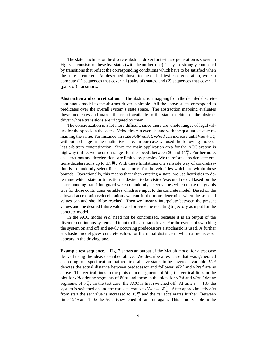The state machine for the discrete abstract driver for test case generation is shown in Fig. 6. It consists of these five states(with the unified one). They are strongly connected by transitions that reflect the corresponding conditions which have to be satisfied when the state is entered. As described above, to the end of test case generation, we can compute (1) sequences that cover all (pairs of) states, and (2) sequences that cover all (pairs of) transitions.

**Abstraction and concretization.** The abstraction mapping from the detailed discretecontinuous model to the abstract driver is simple. All the above states correspond to predicates over the overall system's state space. The abstraction mapping evaluates these predicates and makes the result available to the state machine of the abstract driver whose transitions are triggered by them.

The concretization is a lot more difficult, since there are whole ranges of legal values for the speeds in the states. Velocities can even change with the qualitative state remaining the same. For instance, in state *FolPredSet*, *vPred* can increase until *Vset* +  $1\frac{m}{s}$ without a change in the qualitative state. In our case we used the following more or less arbitrary concretization: Since the main application area for the ACC system is highway traffic, we focus on ranges for the speeds between 30 and  $45\frac{m}{s}$ . Furthermore, accelerations and decelerations are limited by physics. We therefore consider accelerations/decelerations up to  $\pm 3\frac{m}{s^2}$ . With these limitations one sensible way of concretization is to randomly select linear trajectories for the velocities which are within these bounds. Operationally, this means that when entering a state, we use heuristics to determine which state or transition is desired to be visited/executed next. Based on the corresponding transition guard we can randomly select values which make the guards true for those continuous variables which are input to the concrete model. Based on the allowed accelerations/decelerations we can furthermore determine when the selected values can and should be reached. Then we linearly interpolate between the present values and the desired future values and provide the resulting trajectory as input for the concrete model.

In the ACC model *vFol* need not be concretized, because it is an output of the discrete-continuous system and input to the abstract driver. For the events of switching the system on and off and newly occurring predecessors a stochastic is used. A further stochastic model gives concrete values for the initial distance in which a predecessor appears in the driving lane.

**Example test sequence.** Fig. 7 shows an output of the Matlab model for a test case derived using the ideas described above. We describe a test case that was generated according to a specification that required all five states to be covered. Variable *dAct* denotes the actual distance between predecessor and follower, *vFol* and *vPred* are as above. The vertical lines in the plots define segments of 50s, the vertical lines in the plot for *dAct* define segments of 50m and those in the plots for *vFol* and *vPred* define segments of  $5\frac{m}{s}$ . In the test case, the ACC is first switched off. At time  $t = 10s$  the system is switched on and the car accelerates to  $Vset = 30 \frac{m}{s}$ . After approximately 80s from start the set value is increased to  $35\frac{m}{s}$  and the car accelerates further. Between time  $125s$  and  $160s$  the ACC is switched off and on again. This is not visible in the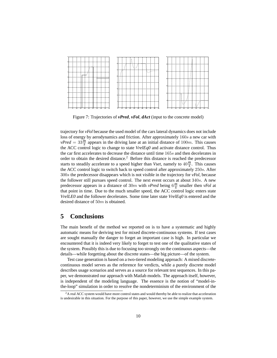

Figure 7: Trajectories of *vPred*, *vFol*, *dAct* (input to the concrete model)

trajectory for *vFol* because the used model of the cars lateral dynamics does not include loss of energy by aerodynamics and friction. After approximately 160s a new car with  $vPred = 33\frac{m}{s}$  appears in the driving lane at an initial distance of 100m. This causes the ACC control logic to change to state *VrelEq0* and activate distance control. Thus the car first accelerates to decrease the distance until time 165s and then decelerates in order to obtain the desired distance. <sup>2</sup> Before this distance is reached the predecessor starts to steadily accelerate to a speed higher than *Vset*, namely to  $40\frac{m}{s}$ . This causes the ACC control logic to switch back to speed control after approximately 250s. After 300s the predecessor disappears which is not visible in the trajectory for *vFol*, because the follower still pursues speed control. The next event occurs at about 340s. A new predecessor appears in a distance of 30m with *vPred* being  $6\frac{m}{s}$  smaller then *vFol* at that point in time. Due to the much smaller speed, the ACC control logic enters state *VrelLE0* and the follower decelerates. Some time later state *VrelEq0* is entered and the desired distance of 50m is obtained.

#### **5 Conclusions**

The main benefit of the method we reported on is to have a systematic and highly automatic means for deriving test for mixed discrete-continuous systems. If test cases are sought manually the danger to forget an important case is high. In particular we encountered that it is indeed very likely to forget to test one of the qualitative states of the system. Possibly this is due to focusing too strongly on the continuous aspects—the details—while forgetting about the discrete states—the big picture—of the system.

Test case generation is based on a two-tiered modeling approach: A mixed discretecontinuous model serves as the reference for verdicts, while a purely discrete model describes usage scenarios and serves as a source for relevant test sequences. In this paper, we demonstrated our approach with Matlab models. The approach itself, however, is independent of the modeling language. The essence is the notion of "model-inthe-loop" simulation in order to resolve the nondeterminism of the environment of the

<sup>&</sup>lt;sup>2</sup>A real ACC system would have more control states and would thereby be able to realize that acceleration is undesirable in this situation. For the purpose of this paper, however, we use the simple example system.